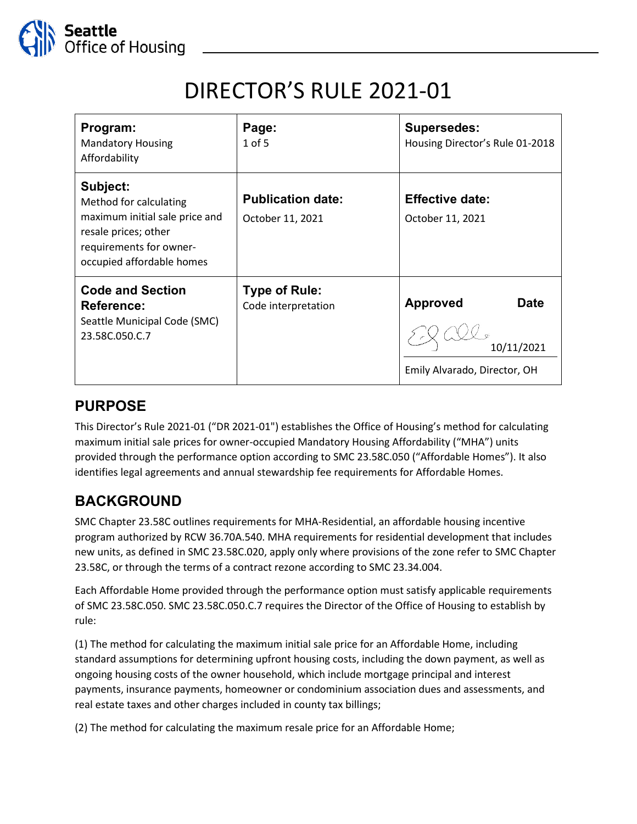

# DIRECTOR'S RULE 2021-01

| Program:<br><b>Mandatory Housing</b><br>Affordability                                                                                                | Page:<br>$1$ of 5                            | <b>Supersedes:</b><br>Housing Director's Rule 01-2018                        |
|------------------------------------------------------------------------------------------------------------------------------------------------------|----------------------------------------------|------------------------------------------------------------------------------|
| Subject:<br>Method for calculating<br>maximum initial sale price and<br>resale prices; other<br>requirements for owner-<br>occupied affordable homes | <b>Publication date:</b><br>October 11, 2021 | <b>Effective date:</b><br>October 11, 2021                                   |
| <b>Code and Section</b><br>Reference:<br>Seattle Municipal Code (SMC)<br>23.58C.050.C.7                                                              | <b>Type of Rule:</b><br>Code interpretation  | <b>Approved</b><br><b>Date</b><br>10/11/2021<br>Emily Alvarado, Director, OH |

## **PURPOSE**

This Director's Rule 2021-01 ("DR 2021-01") establishes the Office of Housing's method for calculating maximum initial sale prices for owner-occupied Mandatory Housing Affordability ("MHA") units provided through the performance option according to SMC 23.58C.050 ("Affordable Homes"). It also identifies legal agreements and annual stewardship fee requirements for Affordable Homes.

# **BACKGROUND**

SMC [Chapter 23.58C](https://library.municode.com/wa/seattle/codes/municipal_code?nodeId=TIT23LAUSCO_SUBTITLE_IIILAUSRE_CH23.58CMAHOAFREDE) outlines requirements for MHA-Residential, an affordable housing incentive program authorized by RCW 36.70A.540. MHA requirements for residential development that includes new units, as defined in SMC 23.58C.020, apply only where provisions of the zone refer to SMC [Chapter](https://library.municode.com/wa/seattle/codes/municipal_code?nodeId=TIT23LAUSCO_SUBTITLE_IIILAUSRE_CH23.58CMAHOAFREDE)  [23.58C,](https://library.municode.com/wa/seattle/codes/municipal_code?nodeId=TIT23LAUSCO_SUBTITLE_IIILAUSRE_CH23.58CMAHOAFREDE) or through the terms of a contract rezone according to [SMC 23.34.004](https://library.municode.com/wa/seattle/codes/municipal_code?nodeId=TIT23LAUSCO_SUBTITLE_IIILAUSRE_CH23.34AMOFLAUSMARE_SUBCHAPTER_IPR_23.34.004CORE).

Each Affordable Home provided through the performance option must satisfy applicable requirements of SMC 23.58C.050. SMC 23.58C.050.C.7 requires the Director of the Office of Housing to establish by rule:

(1) The method for calculating the maximum initial sale price for an Affordable Home, including standard assumptions for determining upfront housing costs, including the down payment, as well as ongoing housing costs of the owner household, which include mortgage principal and interest payments, insurance payments, homeowner or condominium association dues and assessments, and real estate taxes and other charges included in county tax billings;

(2) The method for calculating the maximum resale price for an Affordable Home;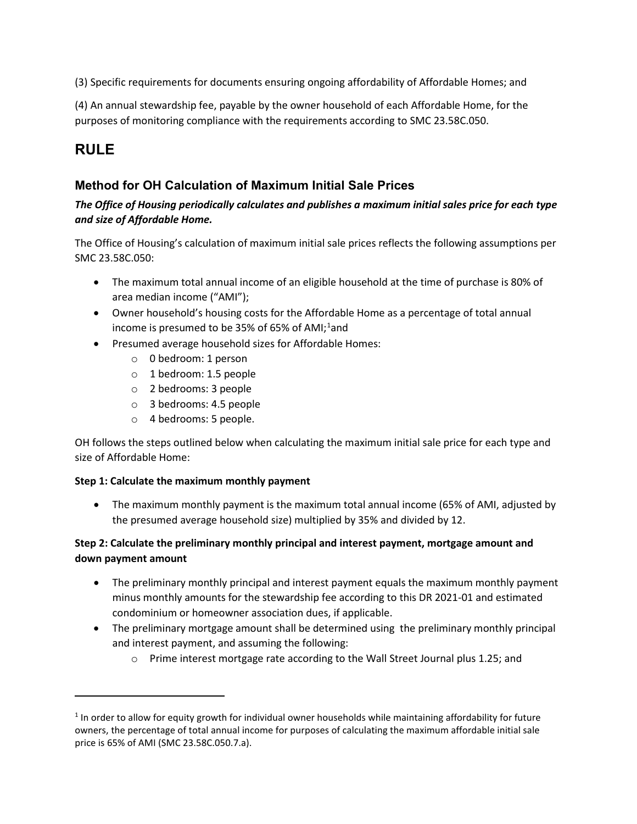(3) Specific requirements for documents ensuring ongoing affordability of Affordable Homes; and

(4) An annual stewardship fee, payable by the owner household of each Affordable Home, for the purposes of monitoring compliance with the requirements according to SMC [23.58C.050.](https://library.municode.com/wa/seattle/codes/municipal_code?nodeId=TIT23LAUSCO_SUBTITLE_IIILAUSRE_CH23.58CMAHOAFREDE_23.58C.050AFHOEROP)

# **RULE**

### **Method for OH Calculation of Maximum Initial Sale Prices**

#### *The Office of Housing periodically calculates and publishes a maximum initial sales price for each type and size of Affordable Home.*

The Office of Housing's calculation of maximum initial sale prices reflects the following assumptions per SMC 23.58C.050:

- The maximum total annual income of an eligible household at the time of purchase is 80% of area median income ("AMI");
- Owner household's housing costs for the Affordable Home as a percentage of total annual income is presumed to be 35% of 65% of AMI;<sup>[1](#page-1-0)</sup>and
- Presumed average household sizes for Affordable Homes:
	- o 0 bedroom: 1 person
	- o 1 bedroom: 1.5 people
	- o 2 bedrooms: 3 people
	- o 3 bedrooms: 4.5 people
	- o 4 bedrooms: 5 people.

OH follows the steps outlined below when calculating the maximum initial sale price for each type and size of Affordable Home:

#### **Step 1: Calculate the maximum monthly payment**

• The maximum monthly payment is the maximum total annual income (65% of AMI, adjusted by the presumed average household size) multiplied by 35% and divided by 12.

#### **Step 2: Calculate the preliminary monthly principal and interest payment, mortgage amount and down payment amount**

- The preliminary monthly principal and interest payment equals the maximum monthly payment minus monthly amounts for the stewardship fee according to this DR 2021-01 and estimated condominium or homeowner association dues, if applicable.
- The preliminary mortgage amount shall be determined using the preliminary monthly principal and interest payment, and assuming the following:
	- o Prime interest mortgage rate according to the Wall Street Journal plus 1.25; and

<span id="page-1-0"></span> $1$  In order to allow for equity growth for individual owner households while maintaining affordability for future owners, the percentage of total annual income for purposes of calculating the maximum affordable initial sale price is 65% of AMI (SMC 23.58C.050.7.a).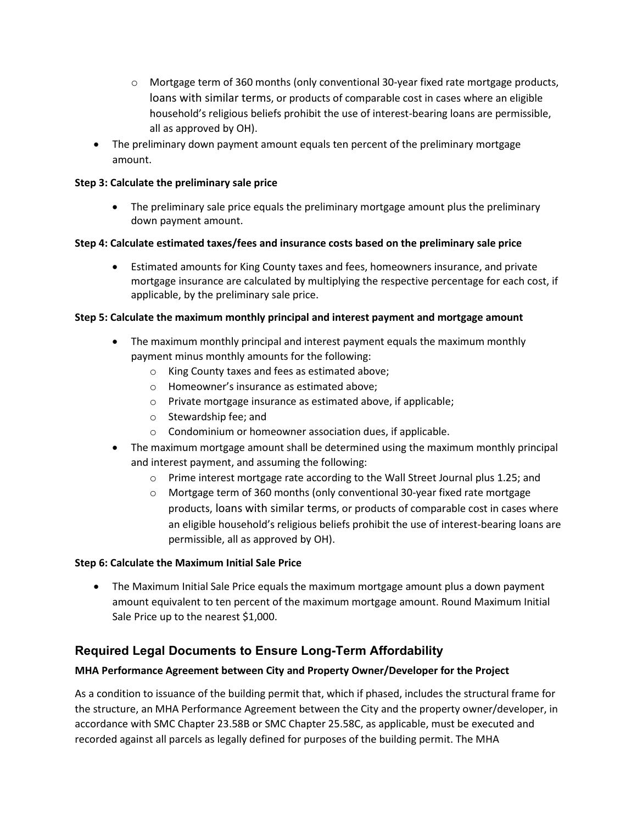- $\circ$  Mortgage term of 360 months (only conventional 30-year fixed rate mortgage products, loans with similar terms, or products of comparable cost in cases where an eligible household's religious beliefs prohibit the use of interest-bearing loans are permissible, all as approved by OH).
- The preliminary down payment amount equals ten percent of the preliminary mortgage amount.

#### **Step 3: Calculate the preliminary sale price**

• The preliminary sale price equals the preliminary mortgage amount plus the preliminary down payment amount.

#### **Step 4: Calculate estimated taxes/fees and insurance costs based on the preliminary sale price**

• Estimated amounts for King County taxes and fees, homeowners insurance, and private mortgage insurance are calculated by multiplying the respective percentage for each cost, if applicable, by the preliminary sale price.

#### **Step 5: Calculate the maximum monthly principal and interest payment and mortgage amount**

- The maximum monthly principal and interest payment equals the maximum monthly payment minus monthly amounts for the following:
	- o King County taxes and fees as estimated above;
	- o Homeowner's insurance as estimated above;
	- o Private mortgage insurance as estimated above, if applicable;
	- o Stewardship fee; and
	- o Condominium or homeowner association dues, if applicable.
- The maximum mortgage amount shall be determined using the maximum monthly principal and interest payment, and assuming the following:
	- o Prime interest mortgage rate according to the Wall Street Journal plus 1.25; and
	- o Mortgage term of 360 months (only conventional 30-year fixed rate mortgage products, loans with similar terms, or products of comparable cost in cases where an eligible household's religious beliefs prohibit the use of interest-bearing loans are permissible, all as approved by OH).

#### **Step 6: Calculate the Maximum Initial Sale Price**

• The Maximum Initial Sale Price equals the maximum mortgage amount plus a down payment amount equivalent to ten percent of the maximum mortgage amount. Round Maximum Initial Sale Price up to the nearest \$1,000.

## **Required Legal Documents to Ensure Long-Term Affordability**

#### **MHA Performance Agreement between City and Property Owner/Developer for the Project**

As a condition to issuance of the building permit that, which if phased, includes the structural frame for the structure, an MHA Performance Agreement between the City and the property owner/developer, in accordance with SMC Chapter 23.58B or SMC Chapter 25.58C, as applicable, must be executed and recorded against all parcels as legally defined for purposes of the building permit. The MHA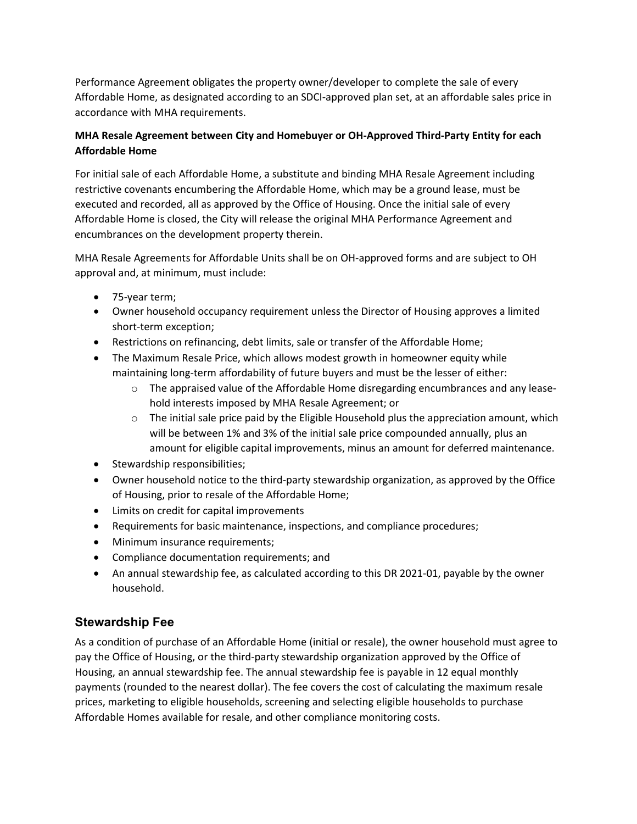Performance Agreement obligates the property owner/developer to complete the sale of every Affordable Home, as designated according to an SDCI-approved plan set, at an affordable sales price in accordance with MHA requirements.

#### **MHA Resale Agreement between City and Homebuyer or OH-Approved Third-Party Entity for each Affordable Home**

For initial sale of each Affordable Home, a substitute and binding MHA Resale Agreement including restrictive covenants encumbering the Affordable Home, which may be a ground lease, must be executed and recorded, all as approved by the Office of Housing. Once the initial sale of every Affordable Home is closed, the City will release the original MHA Performance Agreement and encumbrances on the development property therein.

MHA Resale Agreements for Affordable Units shall be on OH-approved forms and are subject to OH approval and, at minimum, must include:

- 75-year term;
- Owner household occupancy requirement unless the Director of Housing approves a limited short-term exception;
- Restrictions on refinancing, debt limits, sale or transfer of the Affordable Home;
- The Maximum Resale Price, which allows modest growth in homeowner equity while maintaining long-term affordability of future buyers and must be the lesser of either:
	- o The appraised value of the Affordable Home disregarding encumbrances and any leasehold interests imposed by MHA Resale Agreement; or
	- $\circ$  The initial sale price paid by the Eligible Household plus the appreciation amount, which will be between 1% and 3% of the initial sale price compounded annually, plus an amount for eligible capital improvements, minus an amount for deferred maintenance.
- Stewardship responsibilities;
- Owner household notice to the third-party stewardship organization, as approved by the Office of Housing, prior to resale of the Affordable Home;
- Limits on credit for capital improvements
- Requirements for basic maintenance, inspections, and compliance procedures;
- Minimum insurance requirements;
- Compliance documentation requirements; and
- An annual stewardship fee, as calculated according to this DR 2021-01, payable by the owner household.

## **Stewardship Fee**

As a condition of purchase of an Affordable Home (initial or resale), the owner household must agree to pay the Office of Housing, or the third-party stewardship organization approved by the Office of Housing, an annual stewardship fee. The annual stewardship fee is payable in 12 equal monthly payments (rounded to the nearest dollar). The fee covers the cost of calculating the maximum resale prices, marketing to eligible households, screening and selecting eligible households to purchase Affordable Homes available for resale, and other compliance monitoring costs.